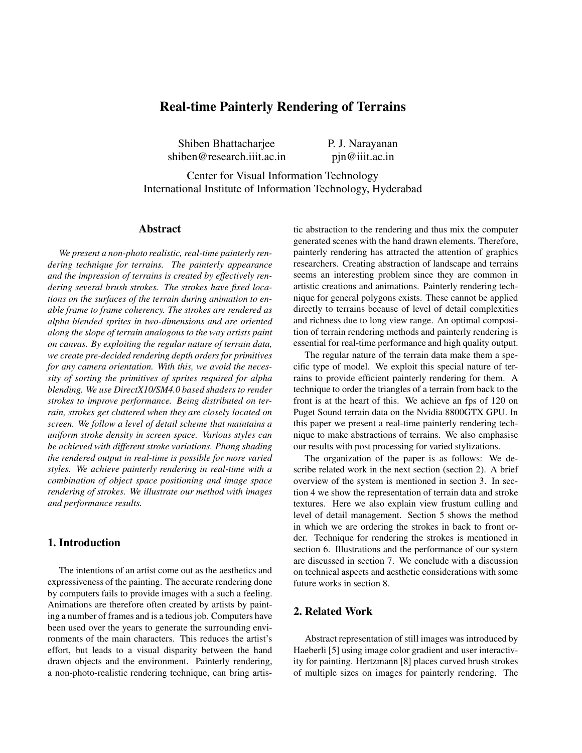# **Real-time Painterly Rendering of Terrains**

Shiben Bhattacharjee shiben@research.iiit.ac.in P. J. Narayanan pjn@iiit.ac.in

Center for Visual Information Technology International Institute of Information Technology, Hyderabad

#### **Abstract**

*We present a non-photo realistic, real-time painterly rendering technique for terrains. The painterly appearance and the impression of terrains is created by effectively rendering several brush strokes. The strokes have fixed locations on the surfaces of the terrain during animation to enable frame to frame coherency. The strokes are rendered as alpha blended sprites in two-dimensions and are oriented along the slope of terrain analogous to the way artists paint on canvas. By exploiting the regular nature of terrain data, we create pre-decided rendering depth orders for primitives for any camera orientation. With this, we avoid the necessity of sorting the primitives of sprites required for alpha blending. We use DirectX10/SM4.0 based shaders to render strokes to improve performance. Being distributed on terrain, strokes get cluttered when they are closely located on screen. We follow a level of detail scheme that maintains a uniform stroke density in screen space. Various styles can be achieved with different stroke variations. Phong shading the rendered output in real-time is possible for more varied styles. We achieve painterly rendering in real-time with a combination of object space positioning and image space rendering of strokes. We illustrate our method with images and performance results.*

## **1. Introduction**

The intentions of an artist come out as the aesthetics and expressiveness of the painting. The accurate rendering done by computers fails to provide images with a such a feeling. Animations are therefore often created by artists by painting a number of frames and is a tedious job. Computers have been used over the years to generate the surrounding environments of the main characters. This reduces the artist's effort, but leads to a visual disparity between the hand drawn objects and the environment. Painterly rendering, a non-photo-realistic rendering technique, can bring artistic abstraction to the rendering and thus mix the computer generated scenes with the hand drawn elements. Therefore, painterly rendering has attracted the attention of graphics researchers. Creating abstraction of landscape and terrains seems an interesting problem since they are common in artistic creations and animations. Painterly rendering technique for general polygons exists. These cannot be applied directly to terrains because of level of detail complexities and richness due to long view range. An optimal composition of terrain rendering methods and painterly rendering is essential for real-time performance and high quality output.

The regular nature of the terrain data make them a specific type of model. We exploit this special nature of terrains to provide efficient painterly rendering for them. A technique to order the triangles of a terrain from back to the front is at the heart of this. We achieve an fps of 120 on Puget Sound terrain data on the Nvidia 8800GTX GPU. In this paper we present a real-time painterly rendering technique to make abstractions of terrains. We also emphasise our results with post processing for varied stylizations.

The organization of the paper is as follows: We describe related work in the next section (section 2). A brief overview of the system is mentioned in section 3. In section 4 we show the representation of terrain data and stroke textures. Here we also explain view frustum culling and level of detail management. Section 5 shows the method in which we are ordering the strokes in back to front order. Technique for rendering the strokes is mentioned in section 6. Illustrations and the performance of our system are discussed in section 7. We conclude with a discussion on technical aspects and aesthetic considerations with some future works in section 8.

## **2. Related Work**

Abstract representation of still images was introduced by Haeberli [5] using image color gradient and user interactivity for painting. Hertzmann [8] places curved brush strokes of multiple sizes on images for painterly rendering. The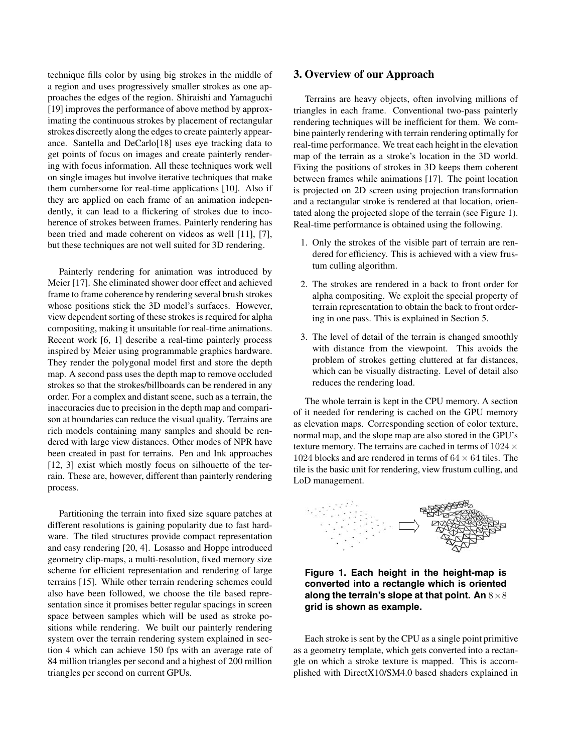technique fills color by using big strokes in the middle of a region and uses progressively smaller strokes as one approaches the edges of the region. Shiraishi and Yamaguchi [19] improves the performance of above method by approximating the continuous strokes by placement of rectangular strokes discreetly along the edges to create painterly appearance. Santella and DeCarlo[18] uses eye tracking data to get points of focus on images and create painterly rendering with focus information. All these techniques work well on single images but involve iterative techniques that make them cumbersome for real-time applications [10]. Also if they are applied on each frame of an animation independently, it can lead to a flickering of strokes due to incoherence of strokes between frames. Painterly rendering has been tried and made coherent on videos as well [11], [7], but these techniques are not well suited for 3D rendering.

Painterly rendering for animation was introduced by Meier [17]. She eliminated shower door effect and achieved frame to frame coherence by rendering several brush strokes whose positions stick the 3D model's surfaces. However, view dependent sorting of these strokes is required for alpha compositing, making it unsuitable for real-time animations. Recent work [6, 1] describe a real-time painterly process inspired by Meier using programmable graphics hardware. They render the polygonal model first and store the depth map. A second pass uses the depth map to remove occluded strokes so that the strokes/billboards can be rendered in any order. For a complex and distant scene, such as a terrain, the inaccuracies due to precision in the depth map and comparison at boundaries can reduce the visual quality. Terrains are rich models containing many samples and should be rendered with large view distances. Other modes of NPR have been created in past for terrains. Pen and Ink approaches [12, 3] exist which mostly focus on silhouette of the terrain. These are, however, different than painterly rendering process.

Partitioning the terrain into fixed size square patches at different resolutions is gaining popularity due to fast hardware. The tiled structures provide compact representation and easy rendering [20, 4]. Losasso and Hoppe introduced geometry clip-maps, a multi-resolution, fixed memory size scheme for efficient representation and rendering of large terrains [15]. While other terrain rendering schemes could also have been followed, we choose the tile based representation since it promises better regular spacings in screen space between samples which will be used as stroke positions while rendering. We built our painterly rendering system over the terrain rendering system explained in section 4 which can achieve 150 fps with an average rate of 84 million triangles per second and a highest of 200 million triangles per second on current GPUs.

## **3. Overview of our Approach**

Terrains are heavy objects, often involving millions of triangles in each frame. Conventional two-pass painterly rendering techniques will be inefficient for them. We combine painterly rendering with terrain rendering optimally for real-time performance. We treat each height in the elevation map of the terrain as a stroke's location in the 3D world. Fixing the positions of strokes in 3D keeps them coherent between frames while animations [17]. The point location is projected on 2D screen using projection transformation and a rectangular stroke is rendered at that location, orientated along the projected slope of the terrain (see Figure 1). Real-time performance is obtained using the following.

- 1. Only the strokes of the visible part of terrain are rendered for efficiency. This is achieved with a view frustum culling algorithm.
- 2. The strokes are rendered in a back to front order for alpha compositing. We exploit the special property of terrain representation to obtain the back to front ordering in one pass. This is explained in Section 5.
- 3. The level of detail of the terrain is changed smoothly with distance from the viewpoint. This avoids the problem of strokes getting cluttered at far distances, which can be visually distracting. Level of detail also reduces the rendering load.

The whole terrain is kept in the CPU memory. A section of it needed for rendering is cached on the GPU memory as elevation maps. Corresponding section of color texture, normal map, and the slope map are also stored in the GPU's texture memory. The terrains are cached in terms of 1024*×* 1024 blocks and are rendered in terms of 64 *×* 64 tiles. The tile is the basic unit for rendering, view frustum culling, and LoD management.





Each stroke is sent by the CPU as a single point primitive as a geometry template, which gets converted into a rectangle on which a stroke texture is mapped. This is accomplished with DirectX10/SM4.0 based shaders explained in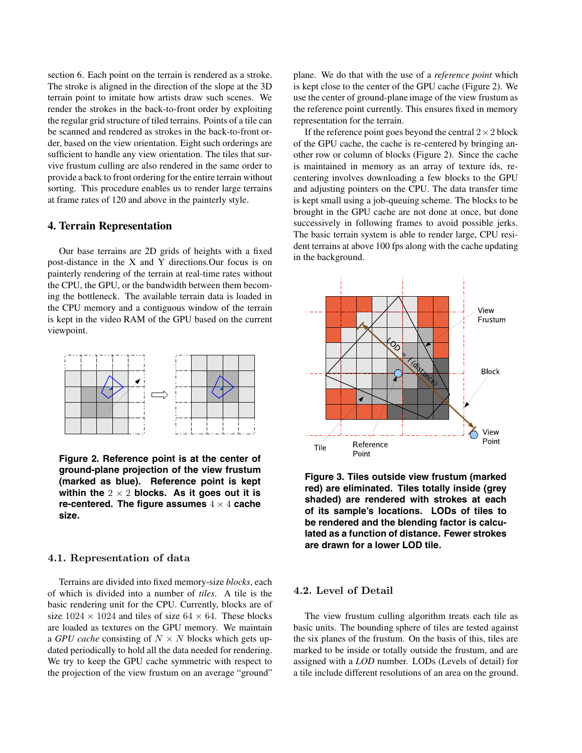section 6. Each point on the terrain is rendered as a stroke. The stroke is aligned in the direction of the slope at the 3D terrain point to imitate how artists draw such scenes. We render the strokes in the back-to-front order by exploiting the regular grid structure of tiled terrains. Points of a tile can be scanned and rendered as strokes in the back-to-front order, based on the view orientation. Eight such orderings are sufficient to handle any view orientation. The tiles that survive frustum culling are also rendered in the same order to provide a back to front ordering for the entire terrain without sorting. This procedure enables us to render large terrains at frame rates of 120 and above in the painterly style.

#### **4. Terrain Representation**

Our base terrains are 2D grids of heights with a fixed post-distance in the X and Y directions.Our focus is on painterly rendering of the terrain at real-time rates without the CPU, the GPU, or the bandwidth between them becoming the bottleneck. The available terrain data is loaded in the CPU memory and a contiguous window of the terrain is kept in the video RAM of the GPU based on the current viewpoint.



**Figure 2. Reference point is at the center of ground-plane projection of the view frustum (marked as blue). Reference point is kept within the** 2 *×* 2 **blocks. As it goes out it is re-centered. The figure assumes** 4 *×* 4 **cache size.**

#### **4.1. Representation of data**

Terrains are divided into fixed memory-size *blocks*, each of which is divided into a number of *tiles*. A tile is the basic rendering unit for the CPU. Currently, blocks are of size  $1024 \times 1024$  and tiles of size  $64 \times 64$ . These blocks are loaded as textures on the GPU memory. We maintain <sup>a</sup> *GPU cache* consisting of *<sup>N</sup> <sup>×</sup> <sup>N</sup>* blocks which gets updated periodically to hold all the data needed for rendering. We try to keep the GPU cache symmetric with respect to the projection of the view frustum on an average "ground"

plane. We do that with the use of a *reference point* which is kept close to the center of the GPU cache (Figure 2). We use the center of ground-plane image of the view frustum as the reference point currently. This ensures fixed in memory representation for the terrain.

If the reference point goes beyond the central  $2 \times 2$  block of the GPU cache, the cache is re-centered by bringing another row or column of blocks (Figure 2). Since the cache is maintained in memory as an array of texture ids, recentering involves downloading a few blocks to the GPU and adjusting pointers on the CPU. The data transfer time is kept small using a job-queuing scheme. The blocks to be brought in the GPU cache are not done at once, but done successively in following frames to avoid possible jerks. The basic terrain system is able to render large, CPU resident terrains at above 100 fps along with the cache updating in the background.



**Figure 3. Tiles outside view frustum (marked red) are eliminated. Tiles totally inside (grey shaded) are rendered with strokes at each of its sample's locations. LODs of tiles to be rendered and the blending factor is calculated as a function of distance. Fewer strokes are drawn for a lower LOD tile.**

#### **4.2. Level of Detail**

The view frustum culling algorithm treats each tile as basic units. The bounding sphere of tiles are tested against the six planes of the frustum. On the basis of this, tiles are marked to be inside or totally outside the frustum, and are assigned with a *LOD* number. LODs (Levels of detail) for a tile include different resolutions of an area on the ground.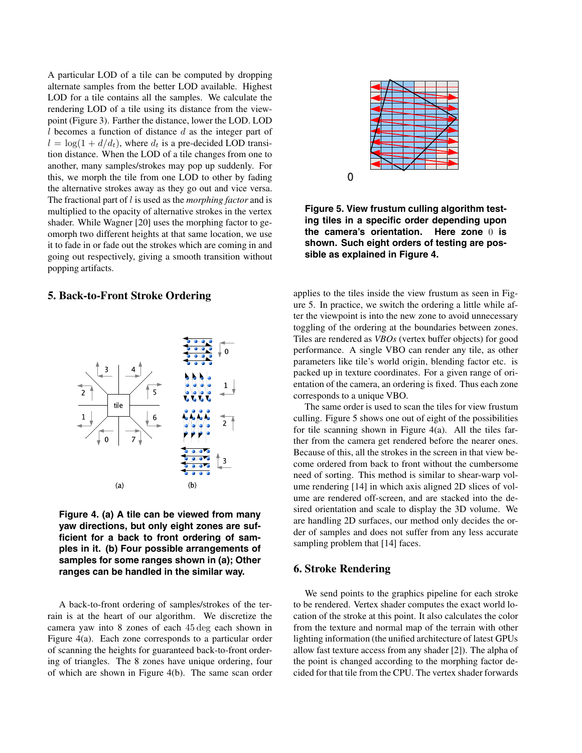A particular LOD of a tile can be computed by dropping alternate samples from the better LOD available. Highest LOD for a tile contains all the samples. We calculate the rendering LOD of a tile using its distance from the viewpoint (Figure 3). Farther the distance, lower the LOD. LOD *l* becomes a function of distance *d* as the integer part of  $l = \log(1 + d/d_t)$ , where  $d_t$  is a pre-decided LOD transition distance. When the LOD of a tile changes from one to another, many samples/strokes may pop up suddenly. For this, we morph the tile from one LOD to other by fading the alternative strokes away as they go out and vice versa. The fractional part of *l* is used as the *morphing factor* and is multiplied to the opacity of alternative strokes in the vertex shader. While Wagner [20] uses the morphing factor to geomorph two different heights at that same location, we use it to fade in or fade out the strokes which are coming in and going out respectively, giving a smooth transition without popping artifacts.

## **5. Back-to-Front Stroke Ordering**



**Figure 4. (a) A tile can be viewed from many yaw directions, but only eight zones are sufficient for a back to front ordering of samples in it. (b) Four possible arrangements of samples for some ranges shown in (a); Other ranges can be handled in the similar way.**

A back-to-front ordering of samples/strokes of the terrain is at the heart of our algorithm. We discretize the camera yaw into 8 zones of each 45 deg each shown in Figure 4(a). Each zone corresponds to a particular order of scanning the heights for guaranteed back-to-front ordering of triangles. The 8 zones have unique ordering, four of which are shown in Figure 4(b). The same scan order



**Figure 5. View frustum culling algorithm testing tiles in a specific order depending upon the camera's orientation. Here zone** 0 **is shown. Such eight orders of testing are possible as explained in Figure 4.**

 $\mathbf 0$ 

applies to the tiles inside the view frustum as seen in Figure 5. In practice, we switch the ordering a little while after the viewpoint is into the new zone to avoid unnecessary toggling of the ordering at the boundaries between zones. Tiles are rendered as *VBOs* (vertex buffer objects) for good performance. A single VBO can render any tile, as other parameters like tile's world origin, blending factor etc. is packed up in texture coordinates. For a given range of orientation of the camera, an ordering is fixed. Thus each zone corresponds to a unique VBO.

The same order is used to scan the tiles for view frustum culling. Figure 5 shows one out of eight of the possibilities for tile scanning shown in Figure 4(a). All the tiles farther from the camera get rendered before the nearer ones. Because of this, all the strokes in the screen in that view become ordered from back to front without the cumbersome need of sorting. This method is similar to shear-warp volume rendering [14] in which axis aligned 2D slices of volume are rendered off-screen, and are stacked into the desired orientation and scale to display the 3D volume. We are handling 2D surfaces, our method only decides the order of samples and does not suffer from any less accurate sampling problem that [14] faces.

## **6. Stroke Rendering**

We send points to the graphics pipeline for each stroke to be rendered. Vertex shader computes the exact world location of the stroke at this point. It also calculates the color from the texture and normal map of the terrain with other lighting information (the unified architecture of latest GPUs allow fast texture access from any shader [2]). The alpha of the point is changed according to the morphing factor decided for that tile from the CPU. The vertex shader forwards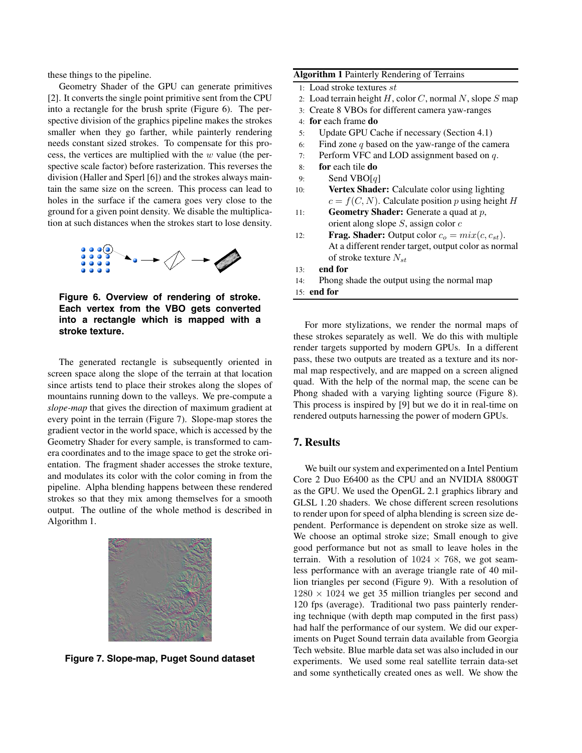these things to the pipeline.

Geometry Shader of the GPU can generate primitives [2]. It converts the single point primitive sent from the CPU into a rectangle for the brush sprite (Figure 6). The perspective division of the graphics pipeline makes the strokes smaller when they go farther, while painterly rendering needs constant sized strokes. To compensate for this process, the vertices are multiplied with the *w* value (the perspective scale factor) before rasterization. This reverses the division (Haller and Sperl [6]) and the strokes always maintain the same size on the screen. This process can lead to holes in the surface if the camera goes very close to the ground for a given point density. We disable the multiplication at such distances when the strokes start to lose density.



**Figure 6. Overview of rendering of stroke. Each vertex from the VBO gets converted into a rectangle which is mapped with a stroke texture.**

The generated rectangle is subsequently oriented in screen space along the slope of the terrain at that location since artists tend to place their strokes along the slopes of mountains running down to the valleys. We pre-compute a *slope-map* that gives the direction of maximum gradient at every point in the terrain (Figure 7). Slope-map stores the gradient vector in the world space, which is accessed by the Geometry Shader for every sample, is transformed to camera coordinates and to the image space to get the stroke orientation. The fragment shader accesses the stroke texture, and modulates its color with the color coming in from the pipeline. Alpha blending happens between these rendered strokes so that they mix among themselves for a smooth output. The outline of the whole method is described in Algorithm 1.



**Figure 7. Slope-map, Puget Sound dataset**

#### **Algorithm 1** Painterly Rendering of Terrains

- 1: Load stroke textures *st*
- 2: Load terrain height *H*, color *C*, normal *N*, slope *S* map
- 3: Create 8 VBOs for different camera yaw-ranges
- 4: **for** each frame **do**
- 5: Update GPU Cache if necessary (Section 4.1)
- 6: Find zone *q* based on the yaw-range of the camera
- 7: Perform VFC and LOD assignment based on *q*.
- 8: **for** each tile **do**
- 9: Send VBO[*q*]
- 10: **Vertex Shader:** Calculate color using lighting  $c = f(C, N)$ . Calculate position *p* using height *H*
- 11: **Geometry Shader:** Generate a quad at *p*, orient along slope *S*, assign color *c*
- 12: **Frag. Shader:** Output color  $c_o = mix(c, c_{st})$ . At a different render target, output color as normal of stroke texture *Nst*
- 13: **end for**
- 14: Phong shade the output using the normal map
- 15: **end for**

For more stylizations, we render the normal maps of these strokes separately as well. We do this with multiple render targets supported by modern GPUs. In a different pass, these two outputs are treated as a texture and its normal map respectively, and are mapped on a screen aligned quad. With the help of the normal map, the scene can be Phong shaded with a varying lighting source (Figure 8). This process is inspired by [9] but we do it in real-time on rendered outputs harnessing the power of modern GPUs.

## **7. Results**

We built our system and experimented on a Intel Pentium Core 2 Duo E6400 as the CPU and an NVIDIA 8800GT as the GPU. We used the OpenGL 2.1 graphics library and GLSL 1.20 shaders. We chose different screen resolutions to render upon for speed of alpha blending is screen size dependent. Performance is dependent on stroke size as well. We choose an optimal stroke size; Small enough to give good performance but not as small to leave holes in the terrain. With a resolution of  $1024 \times 768$ , we got seamless performance with an average triangle rate of 40 million triangles per second (Figure 9). With a resolution of  $1280 \times 1024$  we get 35 million triangles per second and 120 fps (average). Traditional two pass painterly rendering technique (with depth map computed in the first pass) had half the performance of our system. We did our experiments on Puget Sound terrain data available from Georgia Tech website. Blue marble data set was also included in our experiments. We used some real satellite terrain data-set and some synthetically created ones as well. We show the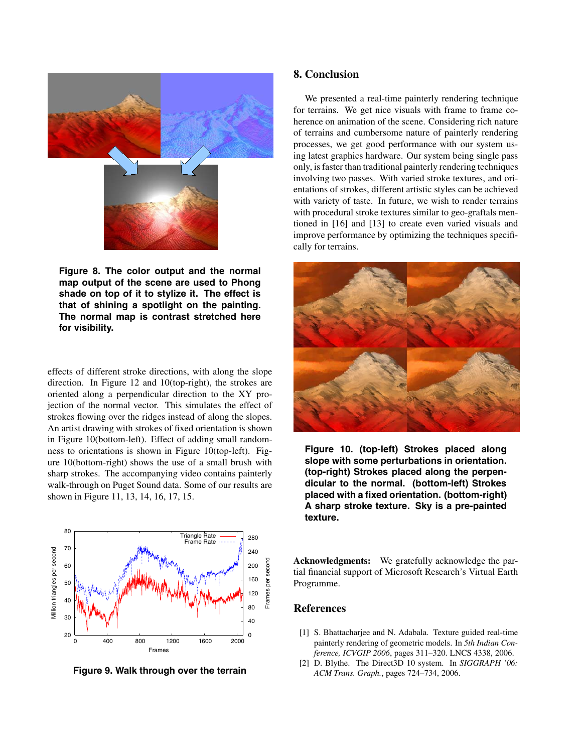

**Figure 8. The color output and the normal map output of the scene are used to Phong shade on top of it to stylize it. The effect is that of shining a spotlight on the painting. The normal map is contrast stretched here for visibility.**

effects of different stroke directions, with along the slope direction. In Figure 12 and 10(top-right), the strokes are oriented along a perpendicular direction to the XY projection of the normal vector. This simulates the effect of strokes flowing over the ridges instead of along the slopes. An artist drawing with strokes of fixed orientation is shown in Figure 10(bottom-left). Effect of adding small randomness to orientations is shown in Figure 10(top-left). Figure 10(bottom-right) shows the use of a small brush with sharp strokes. The accompanying video contains painterly walk-through on Puget Sound data. Some of our results are shown in Figure 11, 13, 14, 16, 17, 15.



**Figure 9. Walk through over the terrain**

## **8. Conclusion**

We presented a real-time painterly rendering technique for terrains. We get nice visuals with frame to frame coherence on animation of the scene. Considering rich nature of terrains and cumbersome nature of painterly rendering processes, we get good performance with our system using latest graphics hardware. Our system being single pass only, is faster than traditional painterly rendering techniques involving two passes. With varied stroke textures, and orientations of strokes, different artistic styles can be achieved with variety of taste. In future, we wish to render terrains with procedural stroke textures similar to geo-graftals mentioned in [16] and [13] to create even varied visuals and improve performance by optimizing the techniques specifically for terrains.



**Figure 10. (top-left) Strokes placed along slope with some perturbations in orientation. (top-right) Strokes placed along the perpendicular to the normal. (bottom-left) Strokes placed with a fixed orientation. (bottom-right) A sharp stroke texture. Sky is a pre-painted texture.**

**Acknowledgments:** We gratefully acknowledge the partial financial support of Microsoft Research's Virtual Earth Programme.

#### **References**

- [1] S. Bhattacharjee and N. Adabala. Texture guided real-time painterly rendering of geometric models. In *5th Indian Conference, ICVGIP 2006*, pages 311–320. LNCS 4338, 2006.
- [2] D. Blythe. The Direct3D 10 system. In *SIGGRAPH '06: ACM Trans. Graph.*, pages 724–734, 2006.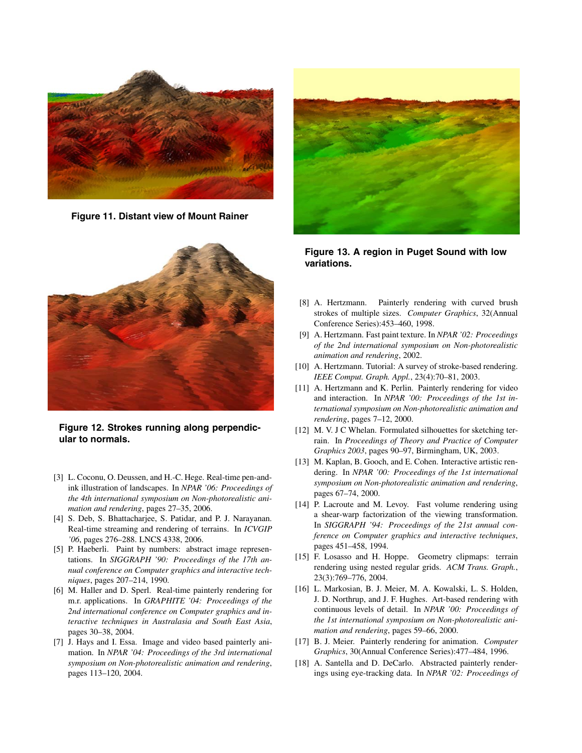

**Figure 11. Distant view of Mount Rainer**



**Figure 12. Strokes running along perpendicular to normals.**

- [3] L. Coconu, O. Deussen, and H.-C. Hege. Real-time pen-andink illustration of landscapes. In *NPAR '06: Proceedings of the 4th international symposium on Non-photorealistic animation and rendering*, pages 27–35, 2006.
- [4] S. Deb, S. Bhattacharjee, S. Patidar, and P. J. Narayanan. Real-time streaming and rendering of terrains. In *ICVGIP '06*, pages 276–288. LNCS 4338, 2006.
- [5] P. Haeberli. Paint by numbers: abstract image representations. In *SIGGRAPH '90: Proceedings of the 17th annual conference on Computer graphics and interactive techniques*, pages 207–214, 1990.
- [6] M. Haller and D. Sperl. Real-time painterly rendering for m.r. applications. In *GRAPHITE '04: Proceedings of the 2nd international conference on Computer graphics and interactive techniques in Australasia and South East Asia*, pages 30–38, 2004.
- [7] J. Hays and I. Essa. Image and video based painterly animation. In *NPAR '04: Proceedings of the 3rd international symposium on Non-photorealistic animation and rendering*, pages 113–120, 2004.



**Figure 13. A region in Puget Sound with low variations.**

- [8] A. Hertzmann. Painterly rendering with curved brush strokes of multiple sizes. *Computer Graphics*, 32(Annual Conference Series):453–460, 1998.
- [9] A. Hertzmann. Fast paint texture. In *NPAR '02: Proceedings of the 2nd international symposium on Non-photorealistic animation and rendering*, 2002.
- [10] A. Hertzmann. Tutorial: A survey of stroke-based rendering. *IEEE Comput. Graph. Appl.*, 23(4):70–81, 2003.
- [11] A. Hertzmann and K. Perlin. Painterly rendering for video and interaction. In *NPAR '00: Proceedings of the 1st international symposium on Non-photorealistic animation and rendering*, pages 7–12, 2000.
- [12] M. V. J C Whelan. Formulated silhouettes for sketching terrain. In *Proceedings of Theory and Practice of Computer Graphics 2003*, pages 90–97, Birmingham, UK, 2003.
- [13] M. Kaplan, B. Gooch, and E. Cohen. Interactive artistic rendering. In *NPAR '00: Proceedings of the 1st international symposium on Non-photorealistic animation and rendering*, pages 67–74, 2000.
- [14] P. Lacroute and M. Levoy. Fast volume rendering using a shear-warp factorization of the viewing transformation. In *SIGGRAPH '94: Proceedings of the 21st annual conference on Computer graphics and interactive techniques*, pages 451–458, 1994.
- [15] F. Losasso and H. Hoppe. Geometry clipmaps: terrain rendering using nested regular grids. *ACM Trans. Graph.*, 23(3):769–776, 2004.
- [16] L. Markosian, B. J. Meier, M. A. Kowalski, L. S. Holden, J. D. Northrup, and J. F. Hughes. Art-based rendering with continuous levels of detail. In *NPAR '00: Proceedings of the 1st international symposium on Non-photorealistic animation and rendering*, pages 59–66, 2000.
- [17] B. J. Meier. Painterly rendering for animation. *Computer Graphics*, 30(Annual Conference Series):477–484, 1996.
- [18] A. Santella and D. DeCarlo. Abstracted painterly renderings using eye-tracking data. In *NPAR '02: Proceedings of*